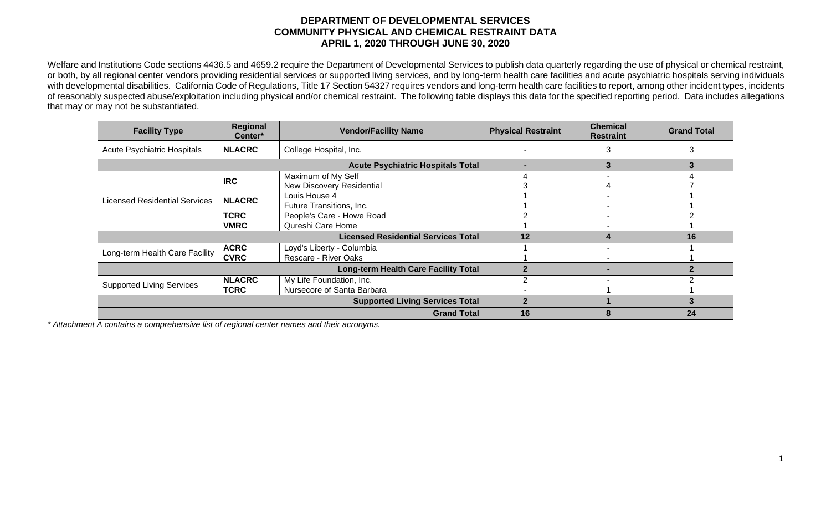## **DEPARTMENT OF DEVELOPMENTAL SERVICES COMMUNITY PHYSICAL AND CHEMICAL RESTRAINT DATA APRIL 1, 2020 THROUGH JUNE 30, 2020**

Welfare and Institutions Code sections 4436.5 and 4659.2 require the Department of Developmental Services to publish data quarterly regarding the use of physical or chemical restraint, or both, by all regional center vendors providing residential services or supported living services, and by long-term health care facilities and acute psychiatric hospitals serving individuals with developmental disabilities. California Code of Regulations, Title 17 Section 54327 requires vendors and long-term health care facilities to report, among other incident types, incidents of reasonably suspected abuse/exploitation including physical and/or chemical restraint. The following table displays this data for the specified reporting period. Data includes allegations that may or may not be substantiated.

| <b>Facility Type</b>               | Regional<br>Center*                         | <b>Vendor/Facility Name</b>              | <b>Physical Restraint</b> | <b>Chemical</b><br><b>Restraint</b> | <b>Grand Total</b> |
|------------------------------------|---------------------------------------------|------------------------------------------|---------------------------|-------------------------------------|--------------------|
| <b>Acute Psychiatric Hospitals</b> | <b>NLACRC</b>                               | College Hospital, Inc.                   |                           | 3                                   |                    |
|                                    |                                             | <b>Acute Psychiatric Hospitals Total</b> | -                         | 3                                   | 3                  |
| Licensed Residential Services      | <b>IRC</b>                                  | Maximum of My Self                       | 4                         |                                     |                    |
|                                    |                                             | <b>New Discovery Residential</b>         | 3                         | 4                                   |                    |
|                                    | <b>NLACRC</b>                               | Louis House 4                            |                           | ٠                                   |                    |
|                                    |                                             | Future Transitions, Inc.                 |                           |                                     |                    |
|                                    | <b>TCRC</b>                                 | People's Care - Howe Road                |                           |                                     |                    |
|                                    | <b>VMRC</b>                                 | Qureshi Care Home                        |                           |                                     |                    |
|                                    | 12                                          |                                          | 16                        |                                     |                    |
| Long-term Health Care Facility     | <b>ACRC</b>                                 | Loyd's Liberty - Columbia                |                           |                                     |                    |
|                                    | <b>CVRC</b>                                 | Rescare - River Oaks                     |                           |                                     |                    |
|                                    | <b>Long-term Health Care Facility Total</b> |                                          |                           |                                     |                    |
| <b>Supported Living Services</b>   | <b>NLACRC</b>                               | My Life Foundation, Inc.                 | 2                         |                                     |                    |
|                                    | <b>TCRC</b>                                 | Nursecore of Santa Barbara               | $\blacksquare$            |                                     |                    |
|                                    | $\mathbf{2}$                                |                                          |                           |                                     |                    |
|                                    |                                             | <b>Grand Total</b>                       | 16                        |                                     | 24                 |

*\* Attachment A contains a comprehensive list of regional center names and their acronyms.*